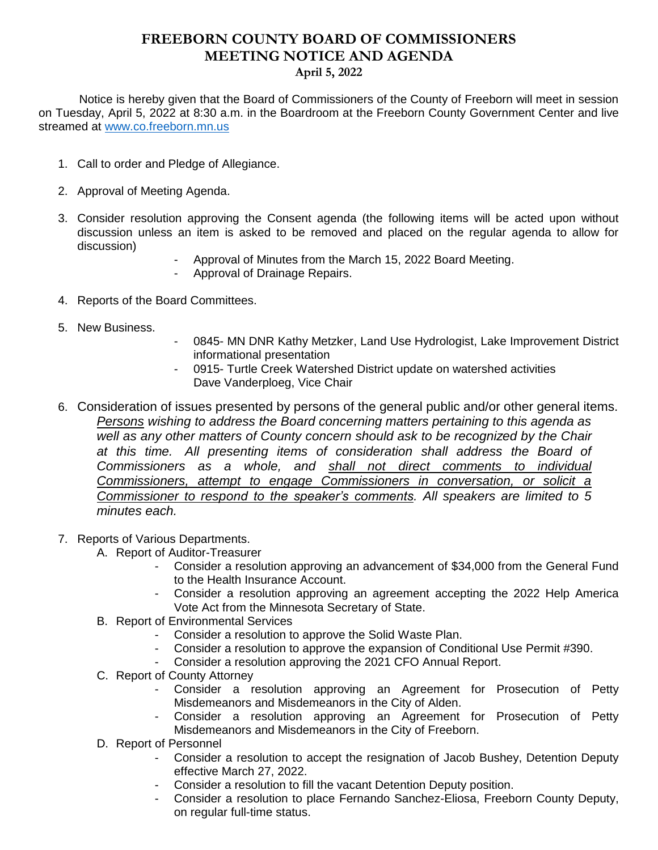## **FREEBORN COUNTY BOARD OF COMMISSIONERS MEETING NOTICE AND AGENDA April 5, 2022**

 Notice is hereby given that the Board of Commissioners of the County of Freeborn will meet in session on Tuesday, April 5, 2022 at 8:30 a.m. in the Boardroom at the Freeborn County Government Center and live streamed at [www.co.freeborn.mn.us](http://www.co.freeborn.mn.us/) 

- 1. Call to order and Pledge of Allegiance.
- 2. Approval of Meeting Agenda.
- 3. Consider resolution approving the Consent agenda (the following items will be acted upon without discussion unless an item is asked to be removed and placed on the regular agenda to allow for discussion)
	- Approval of Minutes from the March 15, 2022 Board Meeting.
	- Approval of Drainage Repairs.
- 4. Reports of the Board Committees.
- 5. New Business.
- 0845- MN DNR Kathy Metzker, Land Use Hydrologist, Lake Improvement District informational presentation
- 0915- Turtle Creek Watershed District update on watershed activities Dave Vanderploeg, Vice Chair
- 6. Consideration of issues presented by persons of the general public and/or other general items. *Persons wishing to address the Board concerning matters pertaining to this agenda as well as any other matters of County concern should ask to be recognized by the Chair at this time. All presenting items of consideration shall address the Board of Commissioners as a whole, and shall not direct comments to individual Commissioners, attempt to engage Commissioners in conversation, or solicit a Commissioner to respond to the speaker's comments. All speakers are limited to 5 minutes each.*
- 7. Reports of Various Departments.
	- A. Report of Auditor-Treasurer
		- Consider a resolution approving an advancement of \$34,000 from the General Fund to the Health Insurance Account.
		- Consider a resolution approving an agreement accepting the 2022 Help America Vote Act from the Minnesota Secretary of State.
	- B. Report of Environmental Services
		- Consider a resolution to approve the Solid Waste Plan.
		- Consider a resolution to approve the expansion of Conditional Use Permit #390.
		- Consider a resolution approving the 2021 CFO Annual Report.
	- C. Report of County Attorney
		- Consider a resolution approving an Agreement for Prosecution of Petty Misdemeanors and Misdemeanors in the City of Alden.
		- Consider a resolution approving an Agreement for Prosecution of Petty Misdemeanors and Misdemeanors in the City of Freeborn.
	- D. Report of Personnel
		- Consider a resolution to accept the resignation of Jacob Bushey, Detention Deputy effective March 27, 2022.
		- Consider a resolution to fill the vacant Detention Deputy position.
		- Consider a resolution to place Fernando Sanchez-Eliosa, Freeborn County Deputy, on regular full-time status.